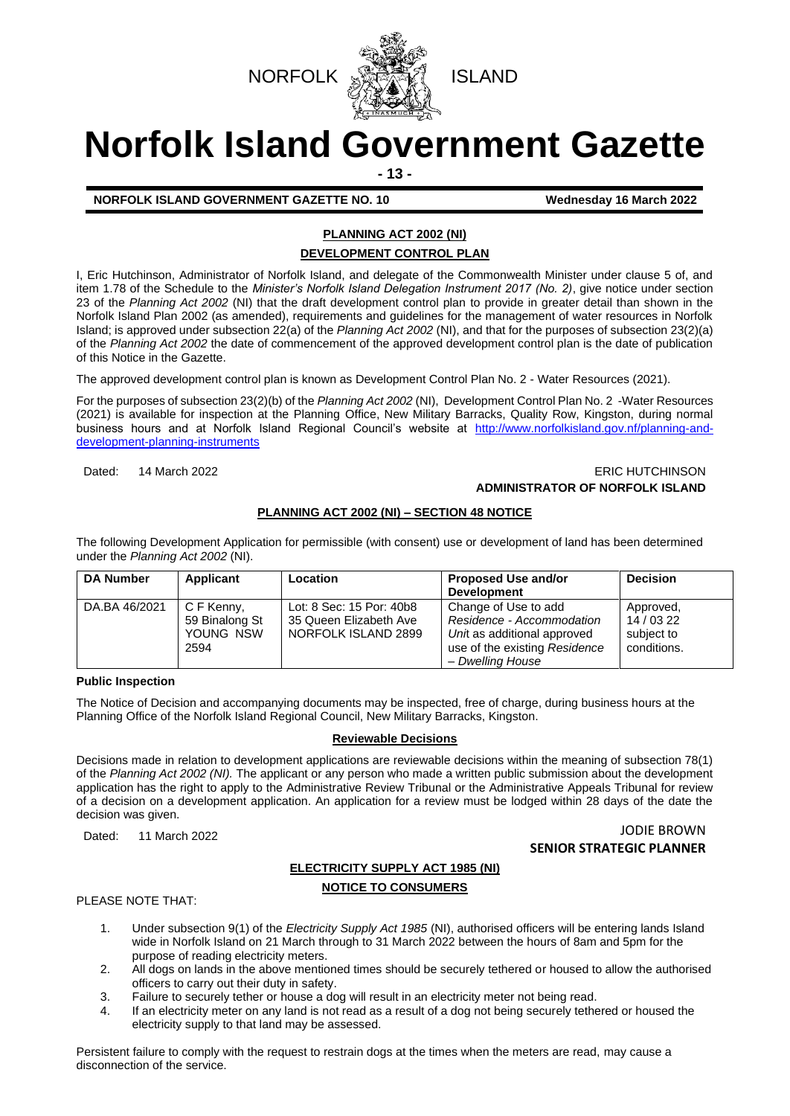



# **Norfolk Island Government Gazette**

**- 13 -**

**NORFOLK ISLAND GOVERNMENT GAZETTE NO. 10 Wednesday 16 March 2022** 

## **PLANNING ACT 2002 (NI) DEVELOPMENT CONTROL PLAN**

I, Eric Hutchinson, Administrator of Norfolk Island, and delegate of the Commonwealth Minister under clause 5 of, and item 1.78 of the Schedule to the *Minister's Norfolk Island Delegation Instrument 2017 (No. 2)*, give notice under section 23 of the *Planning Act 2002* (NI) that the draft development control plan to provide in greater detail than shown in the Norfolk Island Plan 2002 (as amended), requirements and guidelines for the management of water resources in Norfolk Island; is approved under subsection 22(a) of the *Planning Act 2002* (NI), and that for the purposes of subsection 23(2)(a) of the *Planning Act 2002* the date of commencement of the approved development control plan is the date of publication of this Notice in the Gazette.

The approved development control plan is known as Development Control Plan No. 2 - Water Resources (2021).

For the purposes of subsection 23(2)(b) of the *Planning Act 2002* (NI), Development Control Plan No. 2 -Water Resources (2021) is available for inspection at the Planning Office, New Military Barracks, Quality Row, Kingston, during normal business hours and at Norfolk Island Regional Council's website at [http://www.norfolkisland.gov.nf/planning-and](http://www.norfolkisland.gov.nf/planning-and-development-planning-instruments)[development-planning-instruments](http://www.norfolkisland.gov.nf/planning-and-development-planning-instruments)

## Dated: 14 March 2022 **ERIC HUTCHINSON ADMINISTRATOR OF NORFOLK ISLAND**

## **PLANNING ACT 2002 (NI) – SECTION 48 NOTICE**

The following Development Application for permissible (with consent) use or development of land has been determined under the *Planning Act 2002* (NI).

| <b>DA Number</b> | Applicant                                         | Location                                                                  | <b>Proposed Use and/or</b><br><b>Development</b>                                                                                      | <b>Decision</b>                                      |
|------------------|---------------------------------------------------|---------------------------------------------------------------------------|---------------------------------------------------------------------------------------------------------------------------------------|------------------------------------------------------|
| DA.BA 46/2021    | C F Kenny,<br>59 Binalong St<br>YOUNG NSW<br>2594 | Lot: 8 Sec: 15 Por: 40b8<br>35 Queen Elizabeth Ave<br>NORFOLK ISLAND 2899 | Change of Use to add<br>Residence - Accommodation<br>Unit as additional approved<br>use of the existing Residence<br>– Dwelling House | Approved,<br>14 / 03 22<br>subject to<br>conditions. |

#### **Public Inspection**

The Notice of Decision and accompanying documents may be inspected, free of charge, during business hours at the Planning Office of the Norfolk Island Regional Council, New Military Barracks, Kingston.

#### **Reviewable Decisions**

Decisions made in relation to development applications are reviewable decisions within the meaning of subsection 78(1) of the *Planning Act 2002 (NI).* The applicant or any person who made a written public submission about the development application has the right to apply to the Administrative Review Tribunal or the Administrative Appeals Tribunal for review of a decision on a development application. An application for a review must be lodged within 28 days of the date the decision was given.

Dated: 11 March 2022 **JODIE BROWN SENIOR STRATEGIC PLANNER**

## **ELECTRICITY SUPPLY ACT 1985 (NI) NOTICE TO CONSUMERS**

PLEASE NOTE THAT:

- 1. Under subsection 9(1) of the *Electricity Supply Act 1985* (NI), authorised officers will be entering lands Island wide in Norfolk Island on 21 March through to 31 March 2022 between the hours of 8am and 5pm for the purpose of reading electricity meters.
- 2. All dogs on lands in the above mentioned times should be securely tethered or housed to allow the authorised officers to carry out their duty in safety.
- 3. Failure to securely tether or house a dog will result in an electricity meter not being read.
- 4. If an electricity meter on any land is not read as a result of a dog not being securely tethered or housed the electricity supply to that land may be assessed.

Persistent failure to comply with the request to restrain dogs at the times when the meters are read, may cause a disconnection of the service.